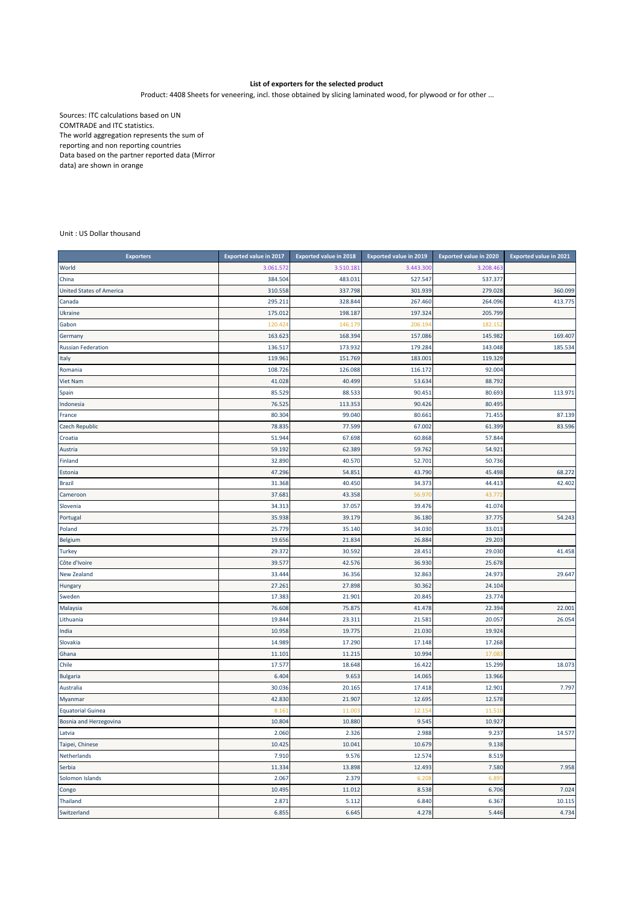## **List of exporters for the selected product**

Product: 4408 Sheets for veneering, incl. those obtained by slicing laminated wood, for plywood or for other ...

Sources: ITC calculations based on UN COMTRADE and ITC statistics. The world aggregation represents the sum of reporting and non reporting countries Data based on the partner reported data (Mirror data) are shown in orange

Unit : US Dollar thousand

| <b>Exporters</b>                | <b>Exported value in 2017</b> | <b>Exported value in 2018</b> | <b>Exported value in 2019</b> | <b>Exported value in 2020</b> | <b>Exported value in 2021</b> |
|---------------------------------|-------------------------------|-------------------------------|-------------------------------|-------------------------------|-------------------------------|
| World                           | 3.061.572                     | 3.510.18                      | 3.443.300                     | 3.208.463                     |                               |
| China                           | 384.504                       | 483.031                       | 527.547                       | 537.377                       |                               |
| <b>United States of America</b> | 310.558                       | 337.798                       | 301.939                       | 279.028                       | 360.099                       |
| Canada                          | 295.21:                       | 328.844                       | 267.460                       | 264.096                       | 413.775                       |
| <b>Ukraine</b>                  | 175.012                       | 198.187                       | 197.324                       | 205.799                       |                               |
| Gabon                           | 120.42                        | 146.17                        | 206.19                        | 182.152                       |                               |
| Germany                         | 163.623                       | 168.394                       | 157.086                       | 145.982                       | 169.407                       |
| <b>Russian Federation</b>       | 136.517                       | 173.932                       | 179.284                       | 143.048                       | 185.534                       |
| Italy                           | 119.96:                       | 151.769                       | 183.001                       | 119.329                       |                               |
| Romania                         | 108.726                       | 126.088                       | 116.172                       | 92.004                        |                               |
| <b>Viet Nam</b>                 | 41.028                        | 40.499                        | 53.634                        | 88.792                        |                               |
| Spain                           | 85.529                        | 88.533                        | 90.451                        | 80.693                        | 113.971                       |
| Indonesia                       | 76.525                        | 113.353                       | 90.426                        | 80.495                        |                               |
| France                          | 80.304                        | 99.040                        | 80.661                        | 71.455                        | 87.139                        |
| <b>Czech Republic</b>           | 78.835                        | 77.599                        | 67.002                        | 61.399                        | 83.596                        |
| Croatia                         | 51.944                        | 67.698                        | 60.868                        | 57.844                        |                               |
| Austria                         | 59.192                        | 62.389                        | 59.762                        | 54.921                        |                               |
| Finland                         | 32.890                        | 40.570                        | 52.701                        | 50.736                        |                               |
| Estonia                         | 47.296                        | 54.851                        | 43.790                        | 45.498                        | 68.272                        |
| <b>Brazil</b>                   | 31.368                        | 40.450                        | 34.373                        | 44.413                        | 42.402                        |
| Cameroon                        | 37.68                         | 43.358                        | 56.97                         | 43.77                         |                               |
| Slovenia                        | 34.313                        | 37.057                        | 39.476                        | 41.074                        |                               |
| Portugal                        | 35.938                        | 39.179                        | 36.180                        | 37.775                        | 54.243                        |
| Poland                          | 25.779                        | 35.140                        | 34.030                        | 33.013                        |                               |
| <b>Belgium</b>                  | 19.656                        | 21.834                        | 26.884                        | 29.203                        |                               |
| <b>Turkey</b>                   | 29.372                        | 30.592                        | 28.451                        | 29.030                        | 41.458                        |
| Côte d'Ivoire                   | 39.577                        | 42.576                        | 36.930                        | 25.678                        |                               |
| New Zealand                     | 33.444                        | 36.356                        | 32.863                        | 24.973                        | 29.647                        |
| Hungary                         | 27.261                        | 27.898                        | 30.362                        | 24.104                        |                               |
| Sweden                          | 17.383                        | 21.901                        | 20.845                        | 23.774                        |                               |
| Malaysia                        | 76.608                        | 75.875                        | 41.478                        | 22.394                        | 22.001                        |
| Lithuania                       | 19.844                        | 23.311                        | 21.581                        | 20.057                        | 26.054                        |
| India                           | 10.958                        | 19.775                        | 21.030                        | 19.924                        |                               |
| Slovakia                        | 14.989                        | 17.290                        | 17.148                        | 17.268                        |                               |
| Ghana                           | 11.10:                        | 11.215                        | 10.994                        | 17.08                         |                               |
| Chile                           | 17.577                        | 18.648                        | 16.422                        | 15.299                        | 18.073                        |
| <b>Bulgaria</b>                 | 6.404                         | 9.653                         | 14.065                        | 13.966                        |                               |
| Australia                       | 30.036                        | 20.165                        | 17.418                        | 12.901                        | 7.797                         |
| Myanmar                         | 42.830                        | 21.907                        | 12.695                        | 12.578                        |                               |
| <b>Equatorial Guinea</b>        | 8.16                          | 11.00                         | 12.154                        | 11.510                        |                               |
| Bosnia and Herzegovina          | 10.804                        | 10.880                        | 9.545                         | 10.927                        |                               |
| Latvia                          | 2.060                         | 2.326                         | 2.988                         | 9.237                         | 14.577                        |
| Taipei, Chinese                 | 10.425                        | 10.041                        | 10.679                        | 9.138                         |                               |
| Netherlands                     | 7.910                         | 9.576                         | 12.574                        | 8.519                         |                               |
| Serbia                          | 11.334                        | 13.898                        | 12.493                        | 7.580                         | 7.958                         |
| Solomon Islands                 | 2.067                         | 2.379                         | 6.208                         | 6.89                          |                               |
| Congo                           | 10.495                        | 11.012                        | 8.538                         | 6.706                         | 7.024                         |
| <b>Thailand</b>                 | 2.871                         | 5.112                         | 6.840                         | 6.367                         | 10.115                        |
| Switzerland                     | 6.855                         | 6.645                         | 4.278                         | 5.446                         | 4.734                         |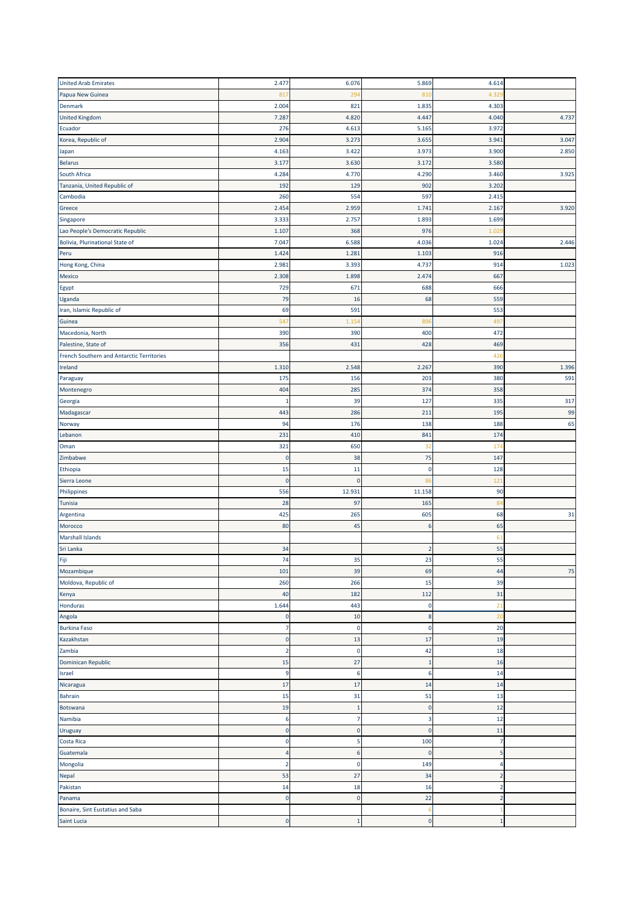| <b>United Arab Emirates</b>               | 2.477            | 6.076              | 5.869             | 4.614          |       |
|-------------------------------------------|------------------|--------------------|-------------------|----------------|-------|
| Papua New Guinea                          | 81               | 294                | 810               | 4.32           |       |
| Denmark                                   | 2.004            | 821                | 1.835             | 4.303          |       |
| <b>United Kingdom</b>                     | 7.287            | 4.820              | 4.447             | 4.040          | 4.737 |
| Ecuador                                   | 276              | 4.613              | 5.165             | 3.972          |       |
| Korea, Republic of                        | 2.904            | 3.273              | 3.655             | 3.941          | 3.047 |
| Japan                                     | 4.163            | 3.422              | 3.973             | 3.900          | 2.850 |
| <b>Belarus</b>                            | 3.177            | 3.630              | 3.172             | 3.580          |       |
| South Africa                              | 4.284            | 4.770              | 4.290             | 3.460          | 3.925 |
| Tanzania, United Republic of              | 192              | 129                | 902               | 3.202          |       |
| Cambodia                                  | 260              | 554                | 597               | 2.415          |       |
| Greece                                    | 2.454            | 2.959              | 1.741             | 2.167          | 3.920 |
| Singapore                                 | 3.333            | 2.757              | 1.893             | 1.699          |       |
| Lao People's Democratic Republic          | 1.107            | 368                | 976               | 1.02           |       |
| Bolivia, Plurinational State of           | 7.047            | 6.588              | 4.036             | 1.024          | 2.446 |
| Peru                                      | 1.424            | 1.281              | 1.103             | 916            |       |
|                                           |                  |                    |                   |                |       |
| Hong Kong, China                          | 2.981            | 3.393              | 4.737             | 914            | 1.023 |
| Mexico                                    | 2.308            | 1.898              | 2.474             | 667            |       |
| Egypt                                     | 729              | 671                | 688               | 666            |       |
| Uganda                                    | 79               | 16                 | 68                | 559            |       |
| Iran, Islamic Republic of                 | 69               | 591                |                   | 553            |       |
| Guinea                                    | 54               | 1.15               | 896               | 497            |       |
| Macedonia, North                          | 390              | 390                | 400               | 472            |       |
| Palestine, State of                       | 356              | 431                | 428               | 469            |       |
| French Southern and Antarctic Territories |                  |                    |                   | 426            |       |
| Ireland                                   | 1.310            | 2.548              | 2.267             | 390            | 1.396 |
| Paraguay                                  | 175              | 156                | 203               | 380            | 591   |
| Montenegro                                | 404              | 285                | 374               | 358            |       |
| Georgia                                   | $\mathbf{1}$     | 39                 | 127               | 335            | 317   |
| Madagascar                                | 443              | 286                | 211               | 195            | 99    |
| Norway                                    | 94               | 176                | 138               | 188            | 65    |
| Lebanon                                   | 231              | 410                | 841               | 174            |       |
| Oman                                      | 321              | 650                | 32                | 174            |       |
| Zimbabwe                                  | $\mathbf 0$      | 38                 | 75                | 147            |       |
| Ethiopia                                  | 15               | 11                 | 0                 | 128            |       |
| Sierra Leone                              | $\mathbf 0$      | $\mathbf 0$        | 86                | 121            |       |
| Philippines                               | 556              | 12.931             | 11.158            | 90             |       |
| Tunisia                                   | 28               | 97                 | 165               | 84             |       |
| Argentina                                 | 425              | 265                | 605               | 68             | 31    |
| Morocco                                   | 80               | 45                 | 6                 | 65             |       |
| <b>Marshall Islands</b>                   |                  |                    |                   | 61             |       |
| Sri Lanka                                 | 34               |                    | $\overline{2}$    | 55             |       |
| Fiji                                      | 74               | 35                 | 23                | 55             |       |
| Mozambique                                | 101              | 39                 | 69                | 44             | 75    |
| Moldova, Republic of                      | 260              | 266                | 15                | 39             |       |
| Kenya                                     | 40               | 182                | 112               | 31             |       |
| Honduras                                  | 1.644            | 443                | 0                 | 21             |       |
| Angola                                    | $\mathbf 0$      | 10                 | 8                 | 20             |       |
| <b>Burkina Faso</b>                       | $\overline{7}$   | $\mathbf 0$        | 0                 | 20             |       |
| Kazakhstan                                | $\mathbf 0$      | 13                 | 17                | 19             |       |
| Zambia                                    | $\overline{2}$   | $\mathbf 0$        | 42                | 18             |       |
| Dominican Republic                        | 15               | 27                 | $\mathbf{1}$      | 16             |       |
| Israel                                    | 9                | 6                  | 6                 | 14             |       |
| Nicaragua                                 | 17               | 17                 | 14                | 14             |       |
|                                           |                  |                    |                   |                |       |
| <b>Bahrain</b>                            | 15               | 31<br>$\mathbf{1}$ | 51<br>$\mathbf 0$ | 13<br>12       |       |
| Botswana                                  | 19               |                    |                   |                |       |
| Namibia                                   | $\boldsymbol{6}$ | 7                  | 3                 | 12             |       |
| Uruguay                                   | $\mathbf 0$      | $\Omega$           | $\pmb{0}$         | 11             |       |
| Costa Rica                                | $\mathbf 0$      | 5                  | 100               | 7              |       |
| Guatemala                                 | $\overline{4}$   | 6                  | 0                 | 5              |       |
| Mongolia                                  | $\overline{2}$   | $\mathbf 0$        | 149               | 4              |       |
| Nepal                                     | 53               | 27                 | 34                | $\overline{2}$ |       |
| Pakistan                                  | 14               | 18                 | 16                | $\overline{2}$ |       |
| Panama                                    | $\mathbf 0$      | $\mathbf 0$        | 22                | $\overline{2}$ |       |
| Bonaire, Sint Eustatius and Saba          |                  |                    | 6                 |                |       |
| Saint Lucia                               | $\mathbf 0$      | $\mathbf{1}$       | $\bf{0}$          | $\mathbf{1}$   |       |